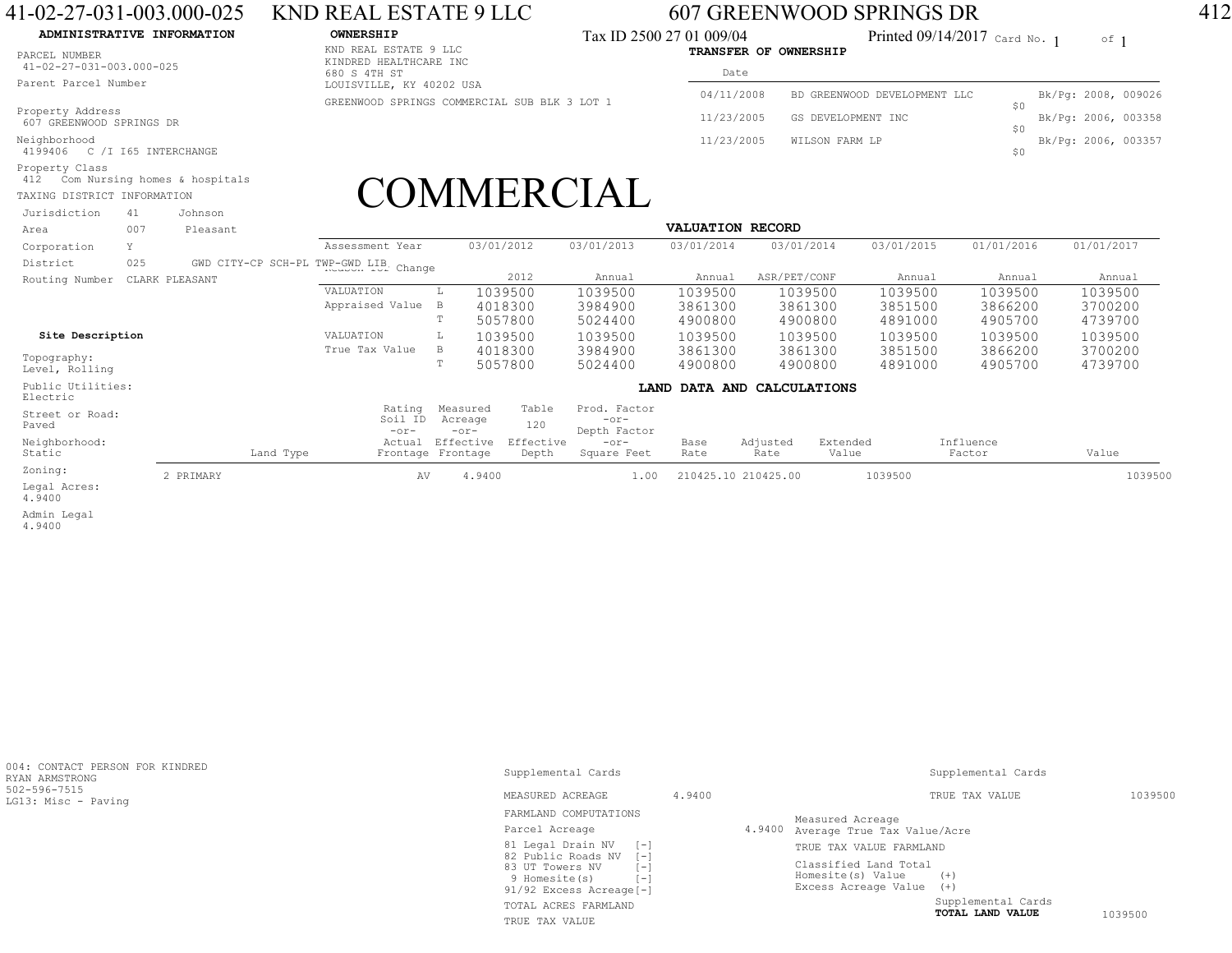## 41-02-27-031-003.000-025 KND REAL ESTATE 9 LLC 607 GREENWOOD SPRINGS DR 412

## **ADMINISTRATIVE INFORMATION**

PARCEL NUMBER41-02-27-031-003.000-025

Parent Parcel Number

Property Address 607 GREENWOOD SPRINGS DR

Neighborhood4199406 C /I I65 INTERCHANGE

Property Class412 Com Nursing homes & hospitals

TAXING DISTRICT INFORMATION

Johnson Jurisdiction 41

KND REAL ESTATE 9 LLC KINDRED HEALTHCARE INC680 S 4TH ST LOUISVILLE, KY 40202 USAGREENWOOD SPRINGS COMMERCIAL SUB BLK 3 LOT 1

**OWNERSHIP** CONSTRUCTED Tax ID 2500 27 01 009/04 Printed 09/14/2017 card No. 1 of **TRANSFER OF OWNERSHIP**Tax ID 2500 27 01 009/04

Date

| ua Le      |                              |                |                     |  |
|------------|------------------------------|----------------|---------------------|--|
| 04/11/2008 | BD GREENWOOD DEVELOPMENT LLC | S O            | Bk/Pg: 2008, 009026 |  |
| 11/23/2005 | GS DEVELOPMENT INC           |                | Bk/Pg: 2006, 003358 |  |
| 11/23/2005 | WILSON FARM LP               | S <sub>0</sub> | Bk/Pg: 2006, 003357 |  |
|            |                              |                |                     |  |

## COMMERCIAL

| Area                          | 007 | Pleasant       |                                       | <b>VALUATION RECORD</b> |                                |                    |                                        |                            |                  |                   |            |                     |            |  |
|-------------------------------|-----|----------------|---------------------------------------|-------------------------|--------------------------------|--------------------|----------------------------------------|----------------------------|------------------|-------------------|------------|---------------------|------------|--|
| Corporation                   | Y   |                | Assessment Year                       |                         |                                | 03/01/2012         | 03/01/2013                             | 03/01/2014                 | 03/01/2014       |                   | 03/01/2015 | 01/01/2016          | 01/01/2017 |  |
| District                      | 025 |                | GWD CITY-CP SCH-PL TWP-GWD LIB Change |                         |                                |                    |                                        |                            |                  |                   |            |                     |            |  |
| Routing Number                |     | CLARK PLEASANT |                                       |                         |                                | 2012               | Annual                                 | Annual                     | ASR/PET/CONF     |                   | Annual     | Annual              | Annual     |  |
|                               |     |                | VALUATION                             |                         |                                | 1039500            | 1039500                                | 1039500                    | 1039500          |                   | 1039500    | 1039500             | 1039500    |  |
|                               |     |                | Appraised Value                       |                         | B                              | 4018300            | 3984900                                | 3861300                    | 3861300          |                   | 3851500    | 3866200             | 3700200    |  |
|                               |     |                |                                       |                         | Т                              | 5057800            | 5024400                                | 4900800                    | 4900800          |                   | 4891000    | 4905700             | 4739700    |  |
| Site Description              |     |                | VALUATION                             |                         |                                | 1039500            | 1039500                                | 1039500                    | 1039500          |                   | 1039500    | 1039500             | 1039500    |  |
|                               |     |                | True Tax Value                        |                         | B                              | 4018300            | 3984900                                | 3861300                    | 3861300          |                   | 3851500    | 3866200             | 3700200    |  |
| Topography:<br>Level, Rolling |     |                |                                       |                         |                                | 5057800            | 5024400                                | 4900800                    | 4900800          |                   | 4891000    | 4905700             | 4739700    |  |
| Public Utilities:<br>Electric |     |                |                                       |                         |                                |                    |                                        | LAND DATA AND CALCULATIONS |                  |                   |            |                     |            |  |
| Street or Road:<br>Paved      |     |                | Rating<br>Soil ID<br>$-0r-$           |                         | Measured<br>Acreage<br>$-0r-$  | Table<br>120       | Prod. Factor<br>$-0r-$<br>Depth Factor |                            |                  |                   |            |                     |            |  |
| Neighborhood:<br>Static       |     | Land Type      | Actual                                |                         | Effective<br>Frontage Frontage | Effective<br>Depth | $-0r-$<br>Square Feet                  | Base<br>Rate               | Adjusted<br>Rate | Extended<br>Value |            | Influence<br>Factor | Value      |  |
| Zoning:                       |     | 2 PRIMARY      |                                       | AV                      | 4.9400                         |                    | 1.00                                   | 210425.10 210425.00        |                  |                   | 1039500    |                     | 1039500    |  |
| Legal Acres:<br>4.9400        |     |                |                                       |                         |                                |                    |                                        |                            |                  |                   |            |                     |            |  |
|                               |     |                |                                       |                         |                                |                    |                                        |                            |                  |                   |            |                     |            |  |

 Admin Legal 4.9400

| 004: CONTACT PERSON FOR KINDRED<br>RYAN ARMSTRONG | Supplemental Cards                                                                                         | Supplemental Cards |                                                                                 |         |  |  |  |  |  |
|---------------------------------------------------|------------------------------------------------------------------------------------------------------------|--------------------|---------------------------------------------------------------------------------|---------|--|--|--|--|--|
| 502-596-7515<br>LG13: Misc - Paving               | 4.9400<br>MEASURED ACREAGE                                                                                 |                    | TRUE TAX VALUE                                                                  | 1039500 |  |  |  |  |  |
|                                                   | FARMLAND COMPUTATIONS                                                                                      |                    | Measured Acreage                                                                |         |  |  |  |  |  |
|                                                   | Parcel Acreage                                                                                             |                    | 4.9400 Average True Tax Value/Acre                                              |         |  |  |  |  |  |
|                                                   | 81 Legal Drain NV<br>$[-1]$                                                                                |                    | TRUE TAX VALUE FARMLAND                                                         |         |  |  |  |  |  |
|                                                   | 82 Public Roads NV<br>$-1$<br>83 UT Towers NV<br>[-]<br>r – 1<br>9 Homesite (s)<br>91/92 Excess Acreage[-] |                    | Classified Land Total<br>Homesite(s) Value<br>$(+)$<br>Excess Acreage Value (+) |         |  |  |  |  |  |
|                                                   | TOTAL ACRES FARMLAND                                                                                       |                    | Supplemental Cards                                                              |         |  |  |  |  |  |
|                                                   | TRUE TAX VALUE                                                                                             |                    | TOTAL LAND VALUE                                                                | 1039500 |  |  |  |  |  |

 $0f$  1